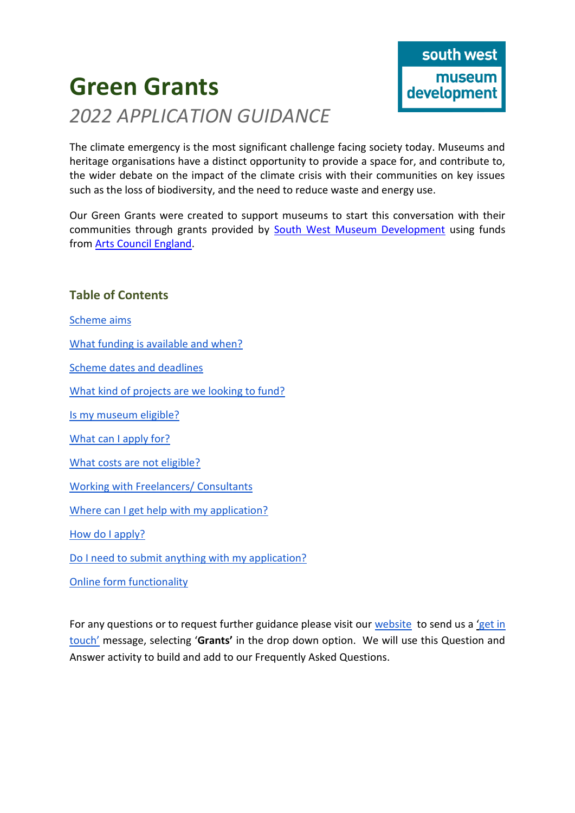# **Green Grants** *2022 APPLICATION GUIDANCE*



The climate emergency is the most significant challenge facing society today. Museums and heritage organisations have a distinct opportunity to provide a space for, and contribute to, the wider debate on the impact of the climate crisis with their communities on key issues such as the loss of biodiversity, and the need to reduce waste and energy use.

Our Green Grants were created to support museums to start this conversation with their communities through grants provided by [South West Museum Development](http://www.southwestmuseums.org.uk/) using funds from [Arts Council England.](https://www.artscouncil.org.uk/)

## **Table of Contents**

Scheme aims

[What funding is available and when?](#page-1-0)

[Scheme dates and deadlines](#page-1-1)

[What kind of projects are we looking to fund?](#page-1-2)

[Is my museum eligible?](#page-2-0)

[What can I apply for?](#page-2-1)

[What costs are not eligible?](#page-2-2)

[Working with Freelancers/ Consultants](#page-3-0)

[Where can I get help with my application?](#page-3-1)

[How do I apply?](#page-3-2)

[Do I need to submit anything with my application?](#page-3-3)

[Online form functionality](#page-3-4)

Fo[r](https://southwestmuseums.org.uk/what-we-do/grants-and-programmes/recovery-grants/) any questions or to request further guidance please visit our [website](https://southwestmuseums.org.uk/what-we-do/grants-and-programmes/recovery-grants/) to send us a 'get in [touch'](https://southwestmuseums.org.uk/get-in-touch/) message, selecting '**Grants'** in the drop down option. We will use this Question and Answer activity to build and add to our Frequently Asked Questions.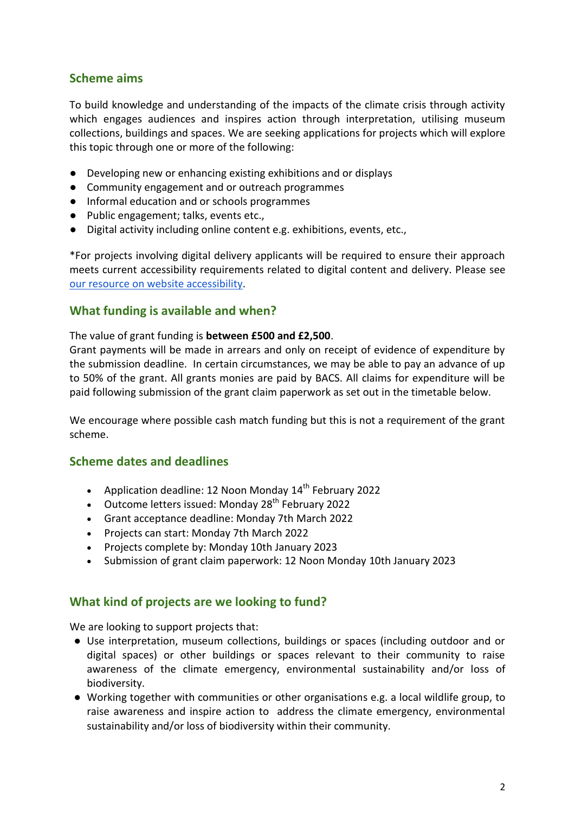## **Scheme aims**

To build knowledge and understanding of the impacts of the climate crisis through activity which engages audiences and inspires action through interpretation, utilising museum collections, buildings and spaces. We are seeking applications for projects which will explore this topic through one or more of the following:

- Developing new or enhancing existing exhibitions and or displays
- Community engagement and or outreach programmes
- Informal education and or schools programmes
- Public engagement; talks, events etc.,
- Digital activity including online content e.g. exhibitions, events, etc.,

\*For projects involving digital delivery applicants will be required to ensure their approach meets current accessibility requirements related to digital content and delivery. Please se[e](https://southwestmuseums.org.uk/wp-content/uploads/2020/09/Digital-Website-accessibility-an-introduction.pdf) [our resource on website accessibility.](https://southwestmuseums.org.uk/wp-content/uploads/2020/09/Digital-Website-accessibility-an-introduction.pdf)

## <span id="page-1-0"></span>**What funding is available and when?**

#### The value of grant funding is **between £500 and £2,500**.

Grant payments will be made in arrears and only on receipt of evidence of expenditure by the submission deadline. In certain circumstances, we may be able to pay an advance of up to 50% of the grant. All grants monies are paid by BACS. All claims for expenditure will be paid following submission of the grant claim paperwork as set out in the timetable below.

We encourage where possible cash match funding but this is not a requirement of the grant scheme.

#### <span id="page-1-1"></span>**Scheme dates and deadlines**

- Application deadline: 12 Noon Monday  $14<sup>th</sup>$  February 2022
- Outcome letters issued: Monday  $28<sup>th</sup>$  February 2022
- Grant acceptance deadline: Monday 7th March 2022
- Projects can start: Monday 7th March 2022
- Projects complete by: Monday 10th January 2023
- Submission of grant claim paperwork: 12 Noon Monday 10th January 2023

## <span id="page-1-2"></span>**What kind of projects are we looking to fund?**

We are looking to support projects that:

- Use interpretation, museum collections, buildings or spaces (including outdoor and or digital spaces) or other buildings or spaces relevant to their community to raise awareness of the climate emergency, environmental sustainability and/or loss of biodiversity.
- Working together with communities or other organisations e.g. a local wildlife group, to raise awareness and inspire action to address the climate emergency, environmental sustainability and/or loss of biodiversity within their community.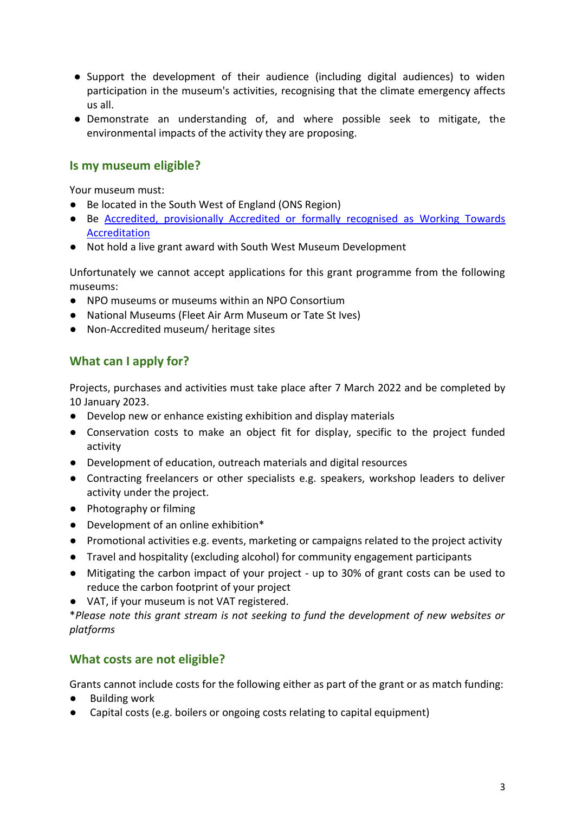- Support the development of their audience (including digital audiences) to widen participation in the museum's activities, recognising that the climate emergency affects us all.
- Demonstrate an understanding of, and where possible seek to mitigate, the environmental impacts of the activity they are proposing.

## <span id="page-2-0"></span>**Is my museum eligible?**

Your museum must:

- Be located in the South West of England (ONS Region)
- Be [Accredited, provisionally Accredited or formally recognised as](http://www.artscouncil.org.uk/what-we-do/supporting-museums/accreditation-scheme/accreditation-statistics/) [Working Towards](http://www.artscouncil.org.uk/what-we-do/supporting-museums/accreditation-scheme/accreditation-statistics/)  [Accreditation](http://www.artscouncil.org.uk/what-we-do/supporting-museums/accreditation-scheme/accreditation-statistics/)
- Not hold a live grant award with South West Museum Development

Unfortunately we cannot accept applications for this grant programme from the following museums:

- NPO museums or museums within an NPO Consortium
- National Museums (Fleet Air Arm Museum or Tate St Ives)
- Non-Accredited museum/ heritage sites

## <span id="page-2-1"></span>**What can I apply for?**

Projects, purchases and activities must take place after 7 March 2022 and be completed by 10 January 2023.

- Develop new or enhance existing exhibition and display materials
- Conservation costs to make an object fit for display, specific to the project funded activity
- Development of education, outreach materials and digital resources
- Contracting freelancers or other specialists e.g. speakers, workshop leaders to deliver activity under the project.
- Photography or filming
- Development of an online exhibition\*
- Promotional activities e.g. events, marketing or campaigns related to the project activity
- Travel and hospitality (excluding alcohol) for community engagement participants
- Mitigating the carbon impact of your project up to 30% of grant costs can be used to reduce the carbon footprint of your project
- VAT, if your museum is not VAT registered.

\**Please note this grant stream is not seeking to fund the development of new websites or platforms*

## <span id="page-2-2"></span>**What costs are not eligible?**

Grants cannot include costs for the following either as part of the grant or as match funding:

- **Building work**
- Capital costs (e.g. boilers or ongoing costs relating to capital equipment)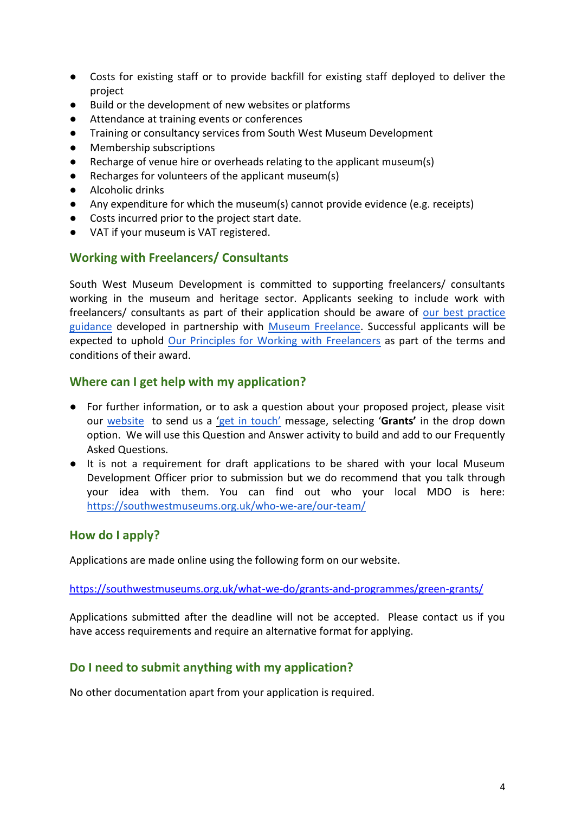- Costs for existing staff or to provide backfill for existing staff deployed to deliver the project
- Build or the development of new websites or platforms
- Attendance at training events or conferences
- Training or consultancy services from South West Museum Development
- Membership subscriptions
- Recharge of venue hire or overheads relating to the applicant museum(s)
- Recharges for volunteers of the applicant museum(s)
- Alcoholic drinks
- Any expenditure for which the museum(s) cannot provide evidence (e.g. receipts)
- Costs incurred prior to the project start date.
- VAT if your museum is VAT registered.

## <span id="page-3-0"></span>**Working with Freelancers/ Consultants**

South West Museum Development is committed to supporting freelancers/ consultants working in the museum and heritage sector. Applicants seeking to include work with freelancers/ consultants as part of their application should be aware o[f](https://southwestmuseums.org.uk/resources/category/working-with-freelancers/) [our best practice](https://southwestmuseums.org.uk/resources/category/working-with-freelancers/)  [guidance](https://southwestmuseums.org.uk/resources/category/working-with-freelancers/) developed in partnership wit[h](https://www.museumfreelance.org/) [Museum Freelance.](https://www.museumfreelance.org/) Successful applicants will be expected to uphol[d](https://southwestmuseums.org.uk/wp-content/uploads/2021/03/Museum-Freelance-Principles-checklist.pdf) [Our Principles for Working with Freelancers](https://southwestmuseums.org.uk/wp-content/uploads/2021/03/Museum-Freelance-Principles-checklist.pdf) as part of the terms and conditions of their award.

## <span id="page-3-1"></span>**Where can I get help with my application?**

- For further information, or to ask a question about your proposed project, please visit our [website](https://southwestmuseums.org.uk/what-we-do/grants-and-programmes/recovery-grants/) to send us a ['get in touch'](https://southwestmuseums.org.uk/get-in-touch/) message, selecting '**Grants'** in the drop down option. We will use this Question and Answer activity to build and add to our Frequently Asked Questions.
- It is not a requirement for draft applications to be shared with your local Museum Development Officer prior to submission but we do recommend that you talk through your idea with them. You can find out who your local MDO is here: <https://southwestmuseums.org.uk/who-we-are/our-team/>

## <span id="page-3-2"></span>**How do I apply?**

Applications are made online using the following form on our website.

<https://southwestmuseums.org.uk/what-we-do/grants-and-programmes/green-grants/>

Applications submitted after the deadline will not be accepted. Please contact us if you have access requirements and require an alternative format for applying.

# <span id="page-3-3"></span>**Do I need to submit anything with my application?**

<span id="page-3-4"></span>No other documentation apart from your application is required.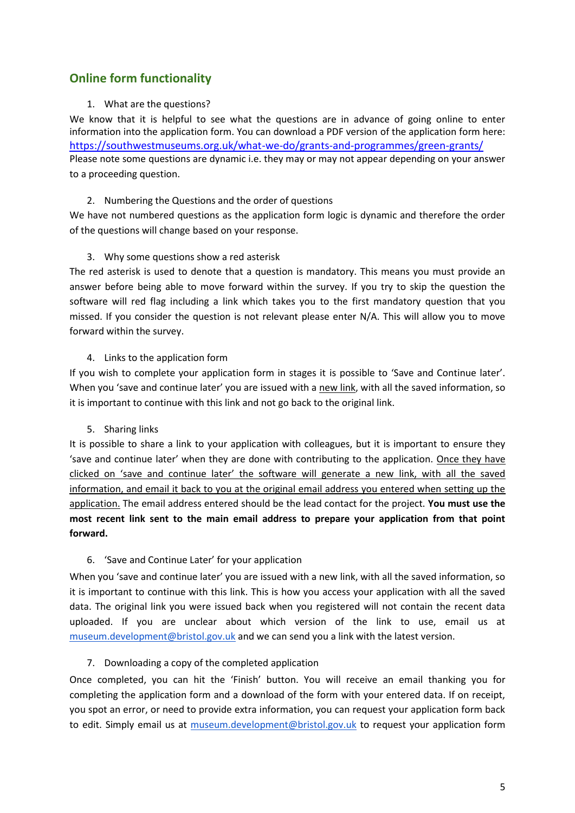# **Online form functionality**

#### 1. What are the questions?

We know that it is helpful to see what the questions are in advance of going online to enter information into the application form. You can download a PDF version of the application form here: <https://southwestmuseums.org.uk/what-we-do/grants-and-programmes/green-grants/> Please note some questions are dynamic i.e. they may or may not appear depending on your answer to a proceeding question.

#### 2. Numbering the Questions and the order of questions

We have not numbered questions as the application form logic is dynamic and therefore the order of the questions will change based on your response.

#### 3. Why some questions show a red asterisk

The red asterisk is used to denote that a question is mandatory. This means you must provide an answer before being able to move forward within the survey. If you try to skip the question the software will red flag including a link which takes you to the first mandatory question that you missed. If you consider the question is not relevant please enter N/A. This will allow you to move forward within the survey.

#### 4. Links to the application form

If you wish to complete your application form in stages it is possible to 'Save and Continue later'. When you 'save and continue later' you are issued with a new link, with all the saved information, so it is important to continue with this link and not go back to the original link.

#### 5. Sharing links

It is possible to share a link to your application with colleagues, but it is important to ensure they 'save and continue later' when they are done with contributing to the application. Once they have clicked on 'save and continue later' the software will generate a new link, with all the saved information, and email it back to you at the original email address you entered when setting up the application. The email address entered should be the lead contact for the project. **You must use the most recent link sent to the main email address to prepare your application from that point forward.**

#### 6. 'Save and Continue Later' for your application

When you 'save and continue later' you are issued with a new link, with all the saved information, so it is important to continue with this link. This is how you access your application with all the saved data. The original link you were issued back when you registered will not contain the recent data uploaded. If you are unclear about which version of the link to use, email us at [museum.development@bristol.gov.uk](mailto:museum.development@bristol.gov.uk) and we can send you a link with the latest version.

#### 7. Downloading a copy of the completed application

Once completed, you can hit the 'Finish' button. You will receive an email thanking you for completing the application form and a download of the form with your entered data. If on receipt, you spot an error, or need to provide extra information, you can request your application form back to edit. Simply email us at [museum.development@bristol.gov.uk](mailto:museum.development@bristol.gov.uk) to request your application form